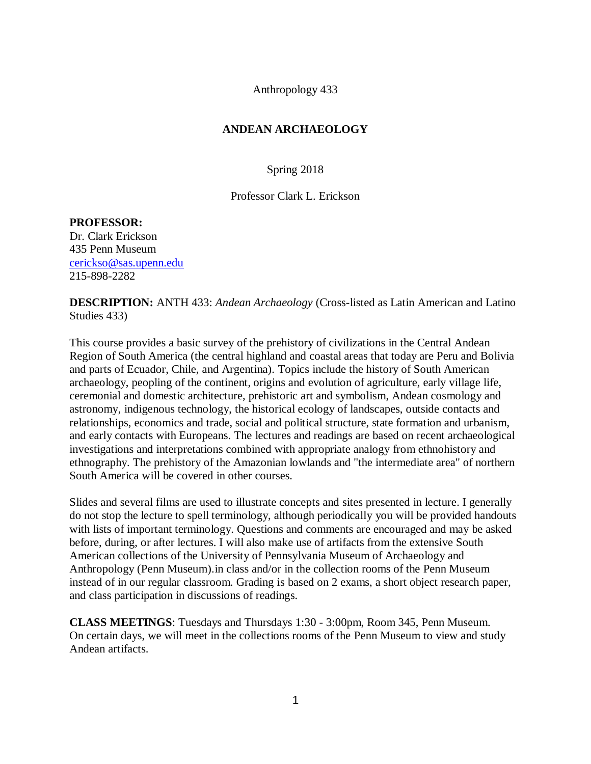Anthropology 433

## **ANDEAN ARCHAEOLOGY**

Spring 2018

Professor Clark L. Erickson

#### **PROFESSOR:**

Dr. Clark Erickson 435 Penn Museum [cerickso@sas.upenn.edu](mailto:cerickso@sas.upenn.edu) 215-898-2282

**DESCRIPTION:** ANTH 433: *Andean Archaeology* (Cross-listed as Latin American and Latino Studies 433)

This course provides a basic survey of the prehistory of civilizations in the Central Andean Region of South America (the central highland and coastal areas that today are Peru and Bolivia and parts of Ecuador, Chile, and Argentina). Topics include the history of South American archaeology, peopling of the continent, origins and evolution of agriculture, early village life, ceremonial and domestic architecture, prehistoric art and symbolism, Andean cosmology and astronomy, indigenous technology, the historical ecology of landscapes, outside contacts and relationships, economics and trade, social and political structure, state formation and urbanism, and early contacts with Europeans. The lectures and readings are based on recent archaeological investigations and interpretations combined with appropriate analogy from ethnohistory and ethnography. The prehistory of the Amazonian lowlands and "the intermediate area" of northern South America will be covered in other courses.

Slides and several films are used to illustrate concepts and sites presented in lecture. I generally do not stop the lecture to spell terminology, although periodically you will be provided handouts with lists of important terminology. Questions and comments are encouraged and may be asked before, during, or after lectures. I will also make use of artifacts from the extensive South American collections of the University of Pennsylvania Museum of Archaeology and Anthropology (Penn Museum).in class and/or in the collection rooms of the Penn Museum instead of in our regular classroom. Grading is based on 2 exams, a short object research paper, and class participation in discussions of readings.

**CLASS MEETINGS**: Tuesdays and Thursdays 1:30 - 3:00pm, Room 345, Penn Museum. On certain days, we will meet in the collections rooms of the Penn Museum to view and study Andean artifacts.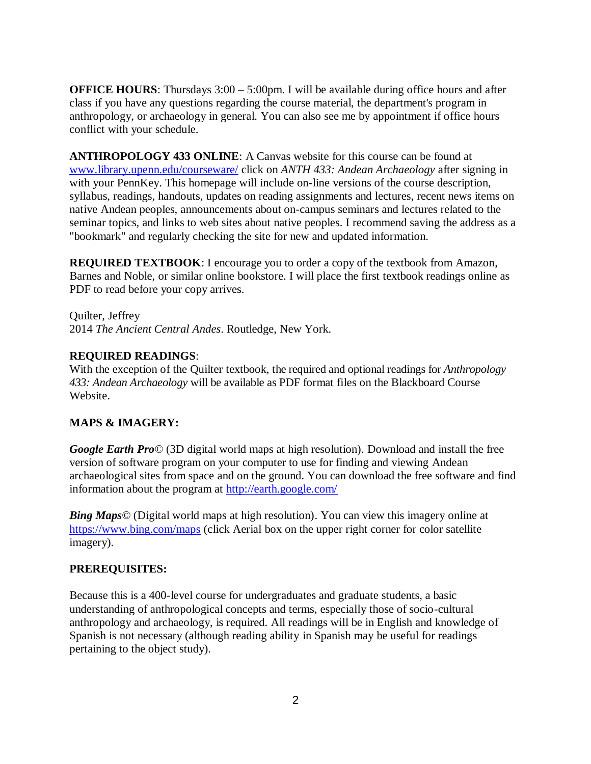**OFFICE HOURS:** Thursdays 3:00 – 5:00pm. I will be available during office hours and after class if you have any questions regarding the course material, the department's program in anthropology, or archaeology in general. You can also see me by appointment if office hours conflict with your schedule.

**ANTHROPOLOGY 433 ONLINE**: A Canvas website for this course can be found at [www.library.upenn.edu/courseware/](http://www.library.upenn.edu/courseware/) click on *ANTH 433: Andean Archaeology* after signing in with your PennKey. This homepage will include on-line versions of the course description, syllabus, readings, handouts, updates on reading assignments and lectures, recent news items on native Andean peoples, announcements about on-campus seminars and lectures related to the seminar topics, and links to web sites about native peoples. I recommend saving the address as a "bookmark" and regularly checking the site for new and updated information.

**REQUIRED TEXTBOOK**: I encourage you to order a copy of the textbook from Amazon, Barnes and Noble, or similar online bookstore. I will place the first textbook readings online as PDF to read before your copy arrives.

Quilter, Jeffrey 2014 *The Ancient Central Andes*. Routledge, New York.

## **REQUIRED READINGS**:

With the exception of the Quilter textbook, the required and optional readings for *Anthropology 433: Andean Archaeology* will be available as PDF format files on the Blackboard Course Website.

# **MAPS & IMAGERY:**

*Google Earth Pro©* (3D digital world maps at high resolution). Download and install the free version of software program on your computer to use for finding and viewing Andean archaeological sites from space and on the ground. You can download the free software and find information about the program at<http://earth.google.com/>

*Bing Maps©* (Digital world maps at high resolution). You can view this imagery online at <https://www.bing.com/maps> (click Aerial box on the upper right corner for color satellite imagery).

# **PREREQUISITES:**

Because this is a 400-level course for undergraduates and graduate students, a basic understanding of anthropological concepts and terms, especially those of socio-cultural anthropology and archaeology, is required. All readings will be in English and knowledge of Spanish is not necessary (although reading ability in Spanish may be useful for readings pertaining to the object study).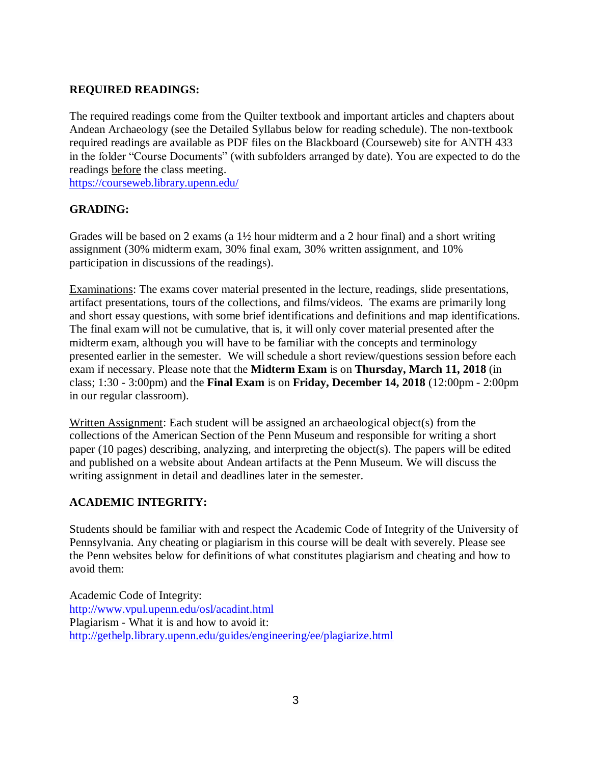## **REQUIRED READINGS:**

The required readings come from the Quilter textbook and important articles and chapters about Andean Archaeology (see the Detailed Syllabus below for reading schedule). The non-textbook required readings are available as PDF files on the Blackboard (Courseweb) site for ANTH 433 in the folder "Course Documents" (with subfolders arranged by date). You are expected to do the readings before the class meeting.

<https://courseweb.library.upenn.edu/>

## **GRADING:**

Grades will be based on 2 exams (a  $1\frac{1}{2}$  hour midterm and a 2 hour final) and a short writing assignment (30% midterm exam, 30% final exam, 30% written assignment, and 10% participation in discussions of the readings).

Examinations: The exams cover material presented in the lecture, readings, slide presentations, artifact presentations, tours of the collections, and films/videos. The exams are primarily long and short essay questions, with some brief identifications and definitions and map identifications. The final exam will not be cumulative, that is, it will only cover material presented after the midterm exam, although you will have to be familiar with the concepts and terminology presented earlier in the semester. We will schedule a short review/questions session before each exam if necessary. Please note that the **Midterm Exam** is on **Thursday, March 11, 2018** (in class; 1:30 - 3:00pm) and the **Final Exam** is on **Friday, December 14, 2018** (12:00pm - 2:00pm in our regular classroom).

Written Assignment: Each student will be assigned an archaeological object(s) from the collections of the American Section of the Penn Museum and responsible for writing a short paper (10 pages) describing, analyzing, and interpreting the object(s). The papers will be edited and published on a website about Andean artifacts at the Penn Museum. We will discuss the writing assignment in detail and deadlines later in the semester.

# **ACADEMIC INTEGRITY:**

Students should be familiar with and respect the Academic Code of Integrity of the University of Pennsylvania. Any cheating or plagiarism in this course will be dealt with severely. Please see the Penn websites below for definitions of what constitutes plagiarism and cheating and how to avoid them:

Academic Code of Integrity: <http://www.vpul.upenn.edu/osl/acadint.html> Plagiarism - What it is and how to avoid it: <http://gethelp.library.upenn.edu/guides/engineering/ee/plagiarize.html>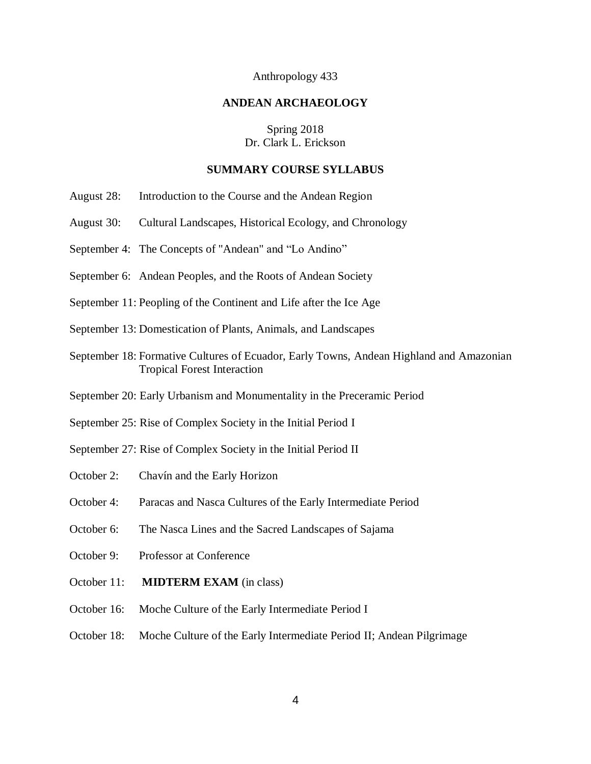#### Anthropology 433

#### **ANDEAN ARCHAEOLOGY**

#### Spring 2018 Dr. Clark L. Erickson

#### **SUMMARY COURSE SYLLABUS**

- August 28: Introduction to the Course and the Andean Region
- August 30: Cultural Landscapes, Historical Ecology, and Chronology
- September 4: The Concepts of "Andean" and "Lo Andino"
- September 6: Andean Peoples, and the Roots of Andean Society
- September 11: Peopling of the Continent and Life after the Ice Age
- September 13: Domestication of Plants, Animals, and Landscapes
- September 18: Formative Cultures of Ecuador, Early Towns, Andean Highland and Amazonian Tropical Forest Interaction
- September 20: Early Urbanism and Monumentality in the Preceramic Period
- September 25: Rise of Complex Society in the Initial Period I
- September 27: Rise of Complex Society in the Initial Period II
- October 2: Chavín and the Early Horizon
- October 4: Paracas and Nasca Cultures of the Early Intermediate Period
- October 6: The Nasca Lines and the Sacred Landscapes of Sajama
- October 9: Professor at Conference
- October 11: **MIDTERM EXAM** (in class)
- October 16: Moche Culture of the Early Intermediate Period I
- October 18: Moche Culture of the Early Intermediate Period II; Andean Pilgrimage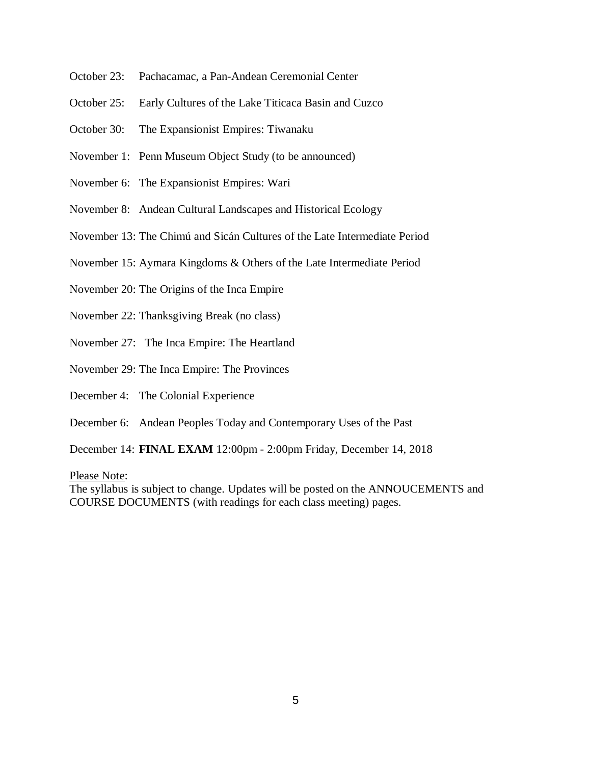- October 23: Pachacamac, a Pan-Andean Ceremonial Center
- October 25: Early Cultures of the Lake Titicaca Basin and Cuzco
- October 30: The Expansionist Empires: Tiwanaku
- November 1: Penn Museum Object Study (to be announced)
- November 6: The Expansionist Empires: Wari
- November 8: Andean Cultural Landscapes and Historical Ecology
- November 13: The Chimú and Sicán Cultures of the Late Intermediate Period
- November 15: Aymara Kingdoms & Others of the Late Intermediate Period
- November 20: The Origins of the Inca Empire
- November 22: Thanksgiving Break (no class)
- November 27: The Inca Empire: The Heartland
- November 29: The Inca Empire: The Provinces
- December 4: The Colonial Experience
- December 6: Andean Peoples Today and Contemporary Uses of the Past

December 14: **FINAL EXAM** 12:00pm - 2:00pm Friday, December 14, 2018

Please Note:

The syllabus is subject to change. Updates will be posted on the ANNOUCEMENTS and COURSE DOCUMENTS (with readings for each class meeting) pages.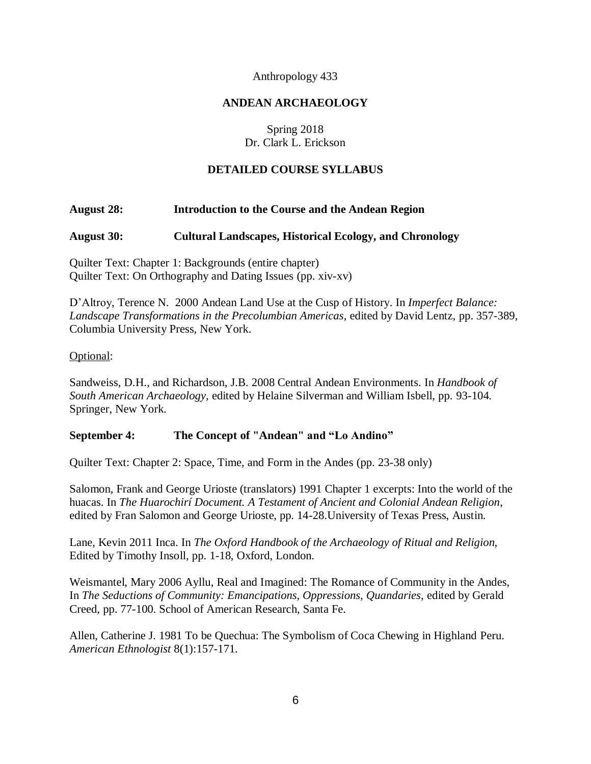### Anthropology 433

## **ANDEAN ARCHAEOLOGY**

# Spring 2018 Dr. Clark L. Erickson

## **DETAILED COURSE SYLLABUS**

## **August 28: Introduction to the Course and the Andean Region**

## **August 30: Cultural Landscapes, Historical Ecology, and Chronology**

Quilter Text: Chapter 1: Backgrounds (entire chapter) Quilter Text: On Orthography and Dating Issues (pp. xiv-xv)

D'Altroy, Terence N. 2000 Andean Land Use at the Cusp of History. In *Imperfect Balance: Landscape Transformations in the Precolumbian Americas*, edited by David Lentz, pp. 357-389, Columbia University Press, New York.

### Optional:

Sandweiss, D.H., and Richardson, J.B. 2008 Central Andean Environments. In *Handbook of South American Archaeology,* edited by Helaine Silverman and William Isbell, pp. 93-104. Springer, New York.

### **September 4: The Concept of "Andean" and "Lo Andino"**

Quilter Text: Chapter 2: Space, Time, and Form in the Andes (pp. 23-38 only)

Salomon, Frank and George Urioste (translators) 1991 Chapter 1 excerpts: Into the world of the huacas. In *The Huarochirí Document. A Testament of Ancient and Colonial Andean Religion*, edited by Fran Salomon and George Urioste, pp. 14-28.University of Texas Press, Austin.

Lane, Kevin 2011 Inca. In *The Oxford Handbook of the Archaeology of Ritual and Religion,* Edited by Timothy Insoll, pp. 1-18, Oxford, London.

Weismantel, Mary 2006 Ayllu, Real and Imagined: The Romance of Community in the Andes, In *The Seductions of Community: Emancipations, Oppressions, Quandaries*, edited by Gerald Creed, pp. 77-100. School of American Research, Santa Fe.

Allen, Catherine J. 1981 To be Quechua: The Symbolism of Coca Chewing in Highland Peru. *American Ethnologist* 8(1):157-171.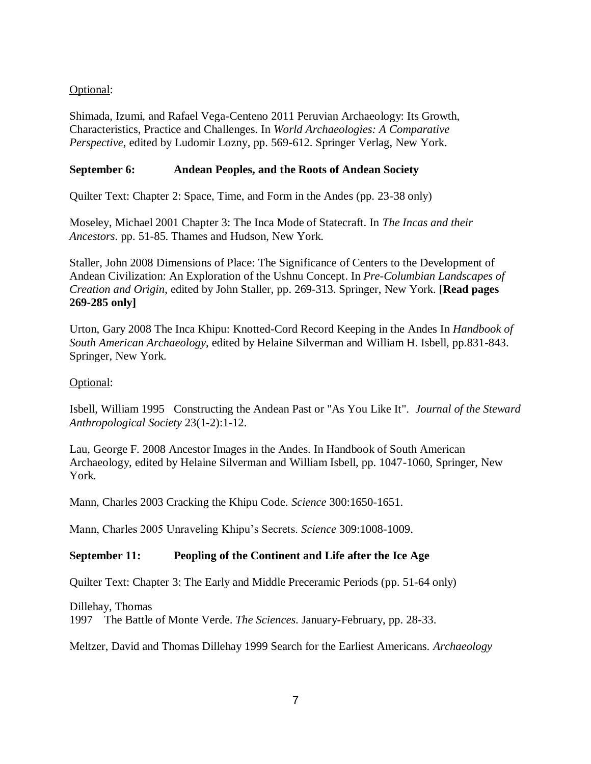# Optional:

Shimada, Izumi, and Rafael Vega-Centeno 2011 Peruvian Archaeology: Its Growth, Characteristics, Practice and Challenges. In *World Archaeologies: A Comparative Perspective*, edited by Ludomir Lozny, pp. 569-612. Springer Verlag, New York.

# **September 6: Andean Peoples, and the Roots of Andean Society**

Quilter Text: Chapter 2: Space, Time, and Form in the Andes (pp. 23-38 only)

Moseley, Michael 2001 Chapter 3: The Inca Mode of Statecraft. In *The Incas and their Ancestors*. pp. 51-85. Thames and Hudson, New York.

Staller, John 2008 Dimensions of Place: The Significance of Centers to the Development of Andean Civilization: An Exploration of the Ushnu Concept. In *Pre-Columbian Landscapes of Creation and Origin*, edited by John Staller, pp. 269-313. Springer, New York. **[Read pages 269-285 only]**

Urton, Gary 2008 The Inca Khipu: Knotted-Cord Record Keeping in the Andes In *Handbook of South American Archaeology*, edited by Helaine Silverman and William H. Isbell, pp.831-843. Springer, New York.

### Optional:

Isbell, William 1995 Constructing the Andean Past or "As You Like It". *Journal of the Steward Anthropological Society* 23(1-2):1-12.

Lau, George F. 2008 Ancestor Images in the Andes. In Handbook of South American Archaeology, edited by Helaine Silverman and William Isbell, pp. 1047-1060, Springer, New York.

Mann, Charles 2003 Cracking the Khipu Code. *Science* 300:1650-1651.

Mann, Charles 2005 Unraveling Khipu's Secrets. *Science* 309:1008-1009.

### **September 11: Peopling of the Continent and Life after the Ice Age**

Quilter Text: Chapter 3: The Early and Middle Preceramic Periods (pp. 51-64 only)

Dillehay, Thomas

1997 The Battle of Monte Verde. *The Sciences*. January-February, pp. 28-33.

Meltzer, David and Thomas Dillehay 1999 Search for the Earliest Americans. *Archaeology*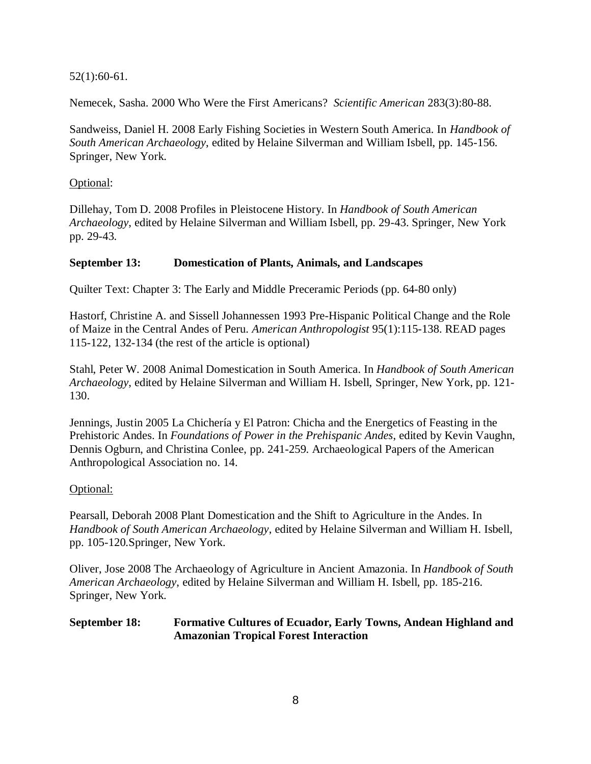52(1):60-61.

Nemecek, Sasha. 2000 Who Were the First Americans? *Scientific American* 283(3):80-88.

Sandweiss, Daniel H. 2008 Early Fishing Societies in Western South America. In *Handbook of South American Archaeology*, edited by Helaine Silverman and William Isbell, pp. 145-156. Springer, New York.

## Optional:

Dillehay, Tom D. 2008 Profiles in Pleistocene History. In *Handbook of South American Archaeology*, edited by Helaine Silverman and William Isbell, pp. 29-43. Springer, New York pp. 29-43.

## **September 13: Domestication of Plants, Animals, and Landscapes**

Quilter Text: Chapter 3: The Early and Middle Preceramic Periods (pp. 64-80 only)

Hastorf, Christine A. and Sissell Johannessen 1993 Pre-Hispanic Political Change and the Role of Maize in the Central Andes of Peru. *American Anthropologist* 95(1):115-138. READ pages 115-122, 132-134 (the rest of the article is optional)

Stahl, Peter W. 2008 Animal Domestication in South America. In *Handbook of South American Archaeology*, edited by Helaine Silverman and William H. Isbell, Springer, New York, pp. 121- 130.

Jennings, Justin 2005 La Chichería y El Patron: Chicha and the Energetics of Feasting in the Prehistoric Andes. In *Foundations of Power in the Prehispanic Andes*, edited by Kevin Vaughn, Dennis Ogburn, and Christina Conlee, pp. 241-259. Archaeological Papers of the American Anthropological Association no. 14.

# Optional:

Pearsall, Deborah 2008 Plant Domestication and the Shift to Agriculture in the Andes. In *Handbook of South American Archaeology*, edited by Helaine Silverman and William H. Isbell, pp. 105-120.Springer, New York.

Oliver, Jose 2008 The Archaeology of Agriculture in Ancient Amazonia. In *Handbook of South American Archaeology*, edited by Helaine Silverman and William H. Isbell, pp. 185-216. Springer, New York.

# **September 18: Formative Cultures of Ecuador, Early Towns, Andean Highland and Amazonian Tropical Forest Interaction**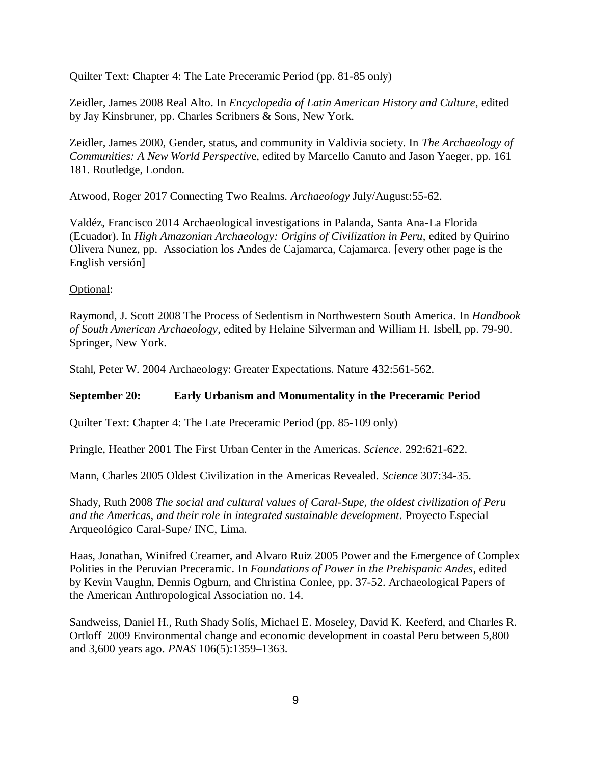Quilter Text: Chapter 4: The Late Preceramic Period (pp. 81-85 only)

Zeidler, James 2008 Real Alto. In *Encyclopedia of Latin American History and Culture*, edited by Jay Kinsbruner, pp. Charles Scribners & Sons, New York.

Zeidler, James 2000, Gender, status, and community in Valdivia society. In *The Archaeology of Communities: A New World Perspectiv*e, edited by Marcello Canuto and Jason Yaeger, pp. 161– 181. Routledge, London.

Atwood, Roger 2017 Connecting Two Realms. *Archaeology* July/August:55-62.

Valdéz, Francisco 2014 Archaeological investigations in Palanda, Santa Ana-La Florida (Ecuador). In *High Amazonian Archaeology: Origins of Civilization in Peru*, edited by Quirino Olivera Nunez, pp. Association los Andes de Cajamarca, Cajamarca. [every other page is the English versión]

#### Optional:

Raymond, J. Scott 2008 The Process of Sedentism in Northwestern South America. In *Handbook of South American Archaeology*, edited by Helaine Silverman and William H. Isbell, pp. 79-90. Springer, New York.

Stahl, Peter W. 2004 Archaeology: Greater Expectations. Nature 432:561-562.

### **September 20: Early Urbanism and Monumentality in the Preceramic Period**

Quilter Text: Chapter 4: The Late Preceramic Period (pp. 85-109 only)

Pringle, Heather 2001 The First Urban Center in the Americas. *Science*. 292:621-622.

Mann, Charles 2005 Oldest Civilization in the Americas Revealed. *Science* 307:34-35.

Shady, Ruth 2008 *The social and cultural values of Caral-Supe, the oldest civilization of Peru and the Americas, and their role in integrated sustainable development*. Proyecto Especial Arqueológico Caral-Supe/ INC, Lima.

Haas, Jonathan, Winifred Creamer, and Alvaro Ruiz 2005 Power and the Emergence of Complex Polities in the Peruvian Preceramic. In *Foundations of Power in the Prehispanic Andes*, edited by Kevin Vaughn, Dennis Ogburn, and Christina Conlee, pp. 37-52. Archaeological Papers of the American Anthropological Association no. 14.

Sandweiss, Daniel H., Ruth Shady Solís, Michael E. Moseley, David K. Keeferd, and Charles R. Ortloff 2009 Environmental change and economic development in coastal Peru between 5,800 and 3,600 years ago. *PNAS* 106(5):1359–1363.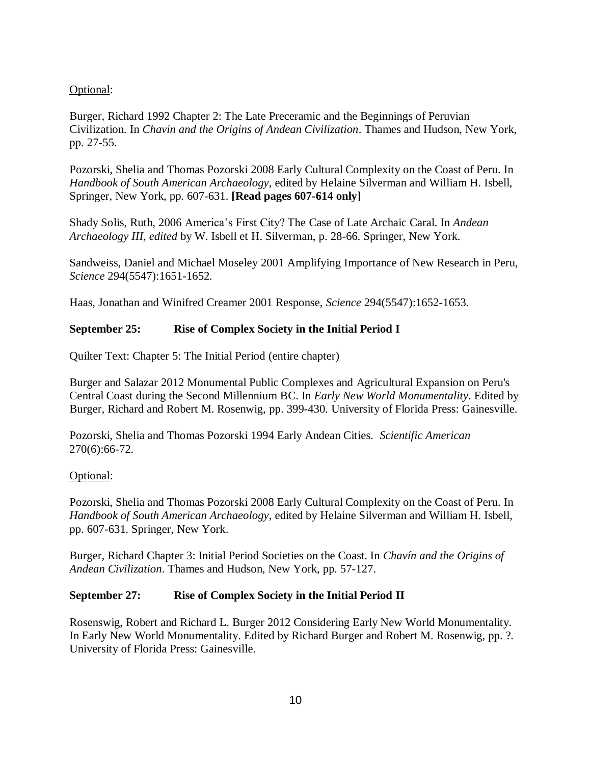# Optional:

Burger, Richard 1992 Chapter 2: The Late Preceramic and the Beginnings of Peruvian Civilization. In *Chavin and the Origins of Andean Civilization*. Thames and Hudson, New York, pp. 27-55.

Pozorski, Shelia and Thomas Pozorski 2008 Early Cultural Complexity on the Coast of Peru. In *Handbook of South American Archaeology*, edited by Helaine Silverman and William H. Isbell, Springer, New York, pp. 607-631. **[Read pages 607-614 only]**

Shady Solis, Ruth, 2006 America's First City? The Case of Late Archaic Caral. In *Andean Archaeology III, edited* by W. Isbell et H. Silverman, p. 28-66. Springer, New York.

Sandweiss, Daniel and Michael Moseley 2001 Amplifying Importance of New Research in Peru, *Science* 294(5547):1651-1652.

Haas, Jonathan and Winifred Creamer 2001 Response, *Science* 294(5547):1652-1653.

## **September 25: Rise of Complex Society in the Initial Period I**

Quilter Text: Chapter 5: The Initial Period (entire chapter)

Burger and Salazar 2012 Monumental Public Complexes and Agricultural Expansion on Peru's Central Coast during the Second Millennium BC. In *Early New World Monumentality*. Edited by Burger, Richard and Robert M. Rosenwig, pp. 399-430. University of Florida Press: Gainesville.

Pozorski, Shelia and Thomas Pozorski 1994 Early Andean Cities. *Scientific American* 270(6):66-72.

# Optional:

Pozorski, Shelia and Thomas Pozorski 2008 Early Cultural Complexity on the Coast of Peru. In *Handbook of South American Archaeology*, edited by Helaine Silverman and William H. Isbell, pp. 607-631. Springer, New York.

Burger, Richard Chapter 3: Initial Period Societies on the Coast. In *Chavín and the Origins of Andean Civilization*. Thames and Hudson, New York, pp. 57-127.

### **September 27: Rise of Complex Society in the Initial Period II**

Rosenswig, Robert and Richard L. Burger 2012 Considering Early New World Monumentality. In Early New World Monumentality. Edited by Richard Burger and Robert M. Rosenwig, pp. ?. University of Florida Press: Gainesville.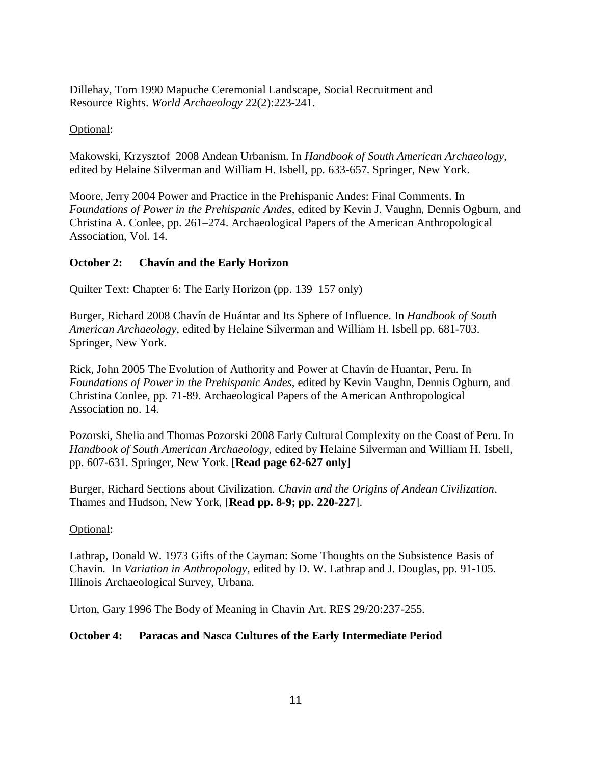Dillehay, Tom 1990 Mapuche Ceremonial Landscape, Social Recruitment and Resource Rights. *World Archaeology* 22(2):223-241.

## Optional:

Makowski, Krzysztof 2008 Andean Urbanism. In *Handbook of South American Archaeology*, edited by Helaine Silverman and William H. Isbell, pp. 633-657. Springer, New York.

Moore, Jerry 2004 Power and Practice in the Prehispanic Andes: Final Comments. In *Foundations of Power in the Prehispanic Andes*, edited by Kevin J. Vaughn, Dennis Ogburn, and Christina A. Conlee, pp. 261–274. Archaeological Papers of the American Anthropological Association, Vol. 14.

# **October 2: Chavín and the Early Horizon**

Quilter Text: Chapter 6: The Early Horizon (pp. 139–157 only)

Burger, Richard 2008 Chavín de Huántar and Its Sphere of Influence. In *Handbook of South American Archaeology*, edited by Helaine Silverman and William H. Isbell pp. 681-703. Springer, New York.

Rick, John 2005 The Evolution of Authority and Power at Chavín de Huantar, Peru. In *Foundations of Power in the Prehispanic Andes*, edited by Kevin Vaughn, Dennis Ogburn, and Christina Conlee, pp. 71-89. Archaeological Papers of the American Anthropological Association no. 14.

Pozorski, Shelia and Thomas Pozorski 2008 Early Cultural Complexity on the Coast of Peru. In *Handbook of South American Archaeology*, edited by Helaine Silverman and William H. Isbell, pp. 607-631. Springer, New York. [**Read page 62-627 only**]

Burger, Richard Sections about Civilization. *Chavin and the Origins of Andean Civilization*. Thames and Hudson, New York, [**Read pp. 8-9; pp. 220-227**].

### Optional:

Lathrap, Donald W. 1973 Gifts of the Cayman: Some Thoughts on the Subsistence Basis of Chavin. In *Variation in Anthropology*, edited by D. W. Lathrap and J. Douglas, pp. 91-105. Illinois Archaeological Survey, Urbana.

Urton, Gary 1996 The Body of Meaning in Chavin Art. RES 29/20:237-255.

# **October 4: Paracas and Nasca Cultures of the Early Intermediate Period**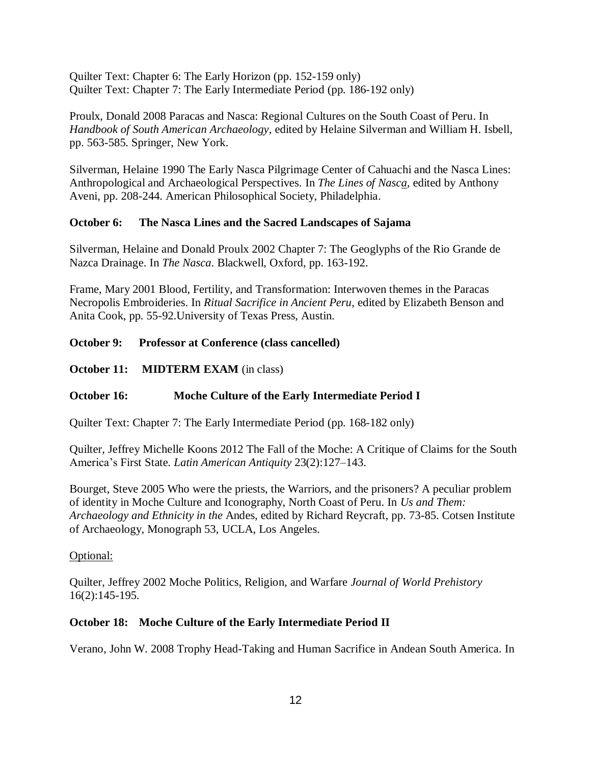Quilter Text: Chapter 6: The Early Horizon (pp. 152-159 only) Quilter Text: Chapter 7: The Early Intermediate Period (pp. 186-192 only)

Proulx, Donald 2008 Paracas and Nasca: Regional Cultures on the South Coast of Peru. In *Handbook of South American Archaeology*, edited by Helaine Silverman and William H. Isbell, pp. 563-585. Springer, New York.

Silverman, Helaine 1990 The Early Nasca Pilgrimage Center of Cahuachi and the Nasca Lines: Anthropological and Archaeological Perspectives. In *The Lines of Nasca*, edited by Anthony Aveni, pp. 208-244. American Philosophical Society, Philadelphia.

## **October 6: The Nasca Lines and the Sacred Landscapes of Sajama**

Silverman, Helaine and Donald Proulx 2002 Chapter 7: The Geoglyphs of the Rio Grande de Nazca Drainage. In *The Nasca*. Blackwell, Oxford, pp. 163-192.

Frame, Mary 2001 Blood, Fertility, and Transformation: Interwoven themes in the Paracas Necropolis Embroideries. In *Ritual Sacrifice in Ancient Peru*, edited by Elizabeth Benson and Anita Cook, pp. 55-92.University of Texas Press, Austin.

## **October 9: Professor at Conference (class cancelled)**

**October 11: MIDTERM EXAM** (in class)

# **October 16: Moche Culture of the Early Intermediate Period I**

Quilter Text: Chapter 7: The Early Intermediate Period (pp. 168-182 only)

Quilter, Jeffrey Michelle Koons 2012 The Fall of the Moche: A Critique of Claims for the South America's First State. *Latin American Antiquity* 23(2):127–143.

Bourget, Steve 2005 Who were the priests, the Warriors, and the prisoners? A peculiar problem of identity in Moche Culture and Iconography, North Coast of Peru. In *Us and Them: Archaeology and Ethnicity in the* Andes, edited by Richard Reycraft, pp. 73-85. Cotsen Institute of Archaeology, Monograph 53, UCLA, Los Angeles.

### Optional:

Quilter, Jeffrey 2002 Moche Politics, Religion, and Warfare *Journal of World Prehistory* 16(2):145-195.

### **October 18: Moche Culture of the Early Intermediate Period II**

Verano, John W. 2008 Trophy Head-Taking and Human Sacrifice in Andean South America. In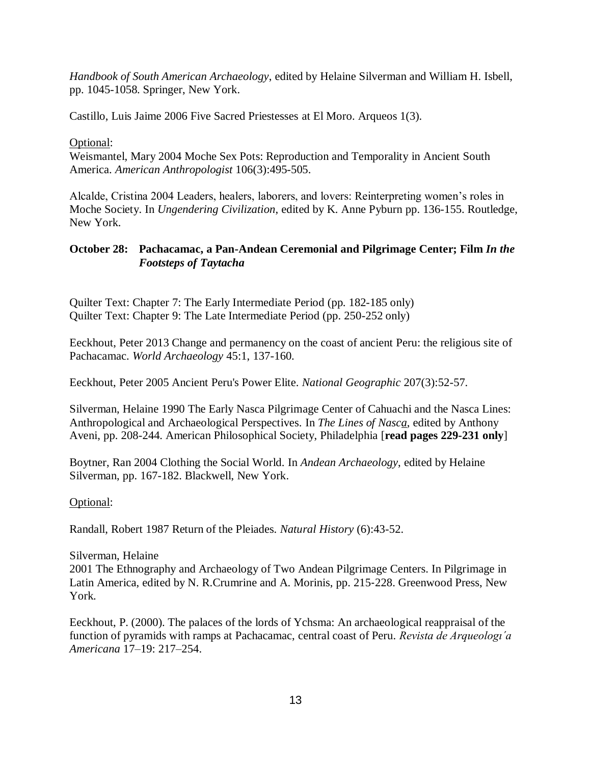*Handbook of South American Archaeology*, edited by Helaine Silverman and William H. Isbell, pp. 1045-1058. Springer, New York.

Castillo, Luis Jaime 2006 Five Sacred Priestesses at El Moro. Arqueos 1(3).

Optional:

Weismantel, Mary 2004 Moche Sex Pots: Reproduction and Temporality in Ancient South America. *American Anthropologist* 106(3):495-505.

Alcalde, Cristina 2004 Leaders, healers, laborers, and lovers: Reinterpreting women's roles in Moche Society. In *Ungendering Civilization*, edited by K. Anne Pyburn pp. 136-155. Routledge, New York.

## **October 28: Pachacamac, a Pan-Andean Ceremonial and Pilgrimage Center; Film** *In the Footsteps of Taytacha*

Quilter Text: Chapter 7: The Early Intermediate Period (pp. 182-185 only) Quilter Text: Chapter 9: The Late Intermediate Period (pp. 250-252 only)

Eeckhout, Peter 2013 Change and permanency on the coast of ancient Peru: the religious site of Pachacamac. *World Archaeology* 45:1, 137-160.

Eeckhout, Peter 2005 Ancient Peru's Power Elite. *National Geographic* 207(3):52-57.

Silverman, Helaine 1990 The Early Nasca Pilgrimage Center of Cahuachi and the Nasca Lines: Anthropological and Archaeological Perspectives. In *The Lines of Nasca*, edited by Anthony Aveni, pp. 208-244. American Philosophical Society, Philadelphia [**read pages 229-231 only**]

Boytner, Ran 2004 Clothing the Social World. In *Andean Archaeology*, edited by Helaine Silverman, pp. 167-182. Blackwell, New York.

Optional:

Randall, Robert 1987 Return of the Pleiades. *Natural History* (6):43-52.

Silverman, Helaine 2001 The Ethnography and Archaeology of Two Andean Pilgrimage Centers. In Pilgrimage in Latin America, edited by N. R.Crumrine and A. Morinis, pp. 215‐228. Greenwood Press, New York.

Eeckhout, P. (2000). The palaces of the lords of Ychsma: An archaeological reappraisal of the function of pyramids with ramps at Pachacamac, central coast of Peru. *Revista de Arqueologı´a Americana* 17–19: 217–254.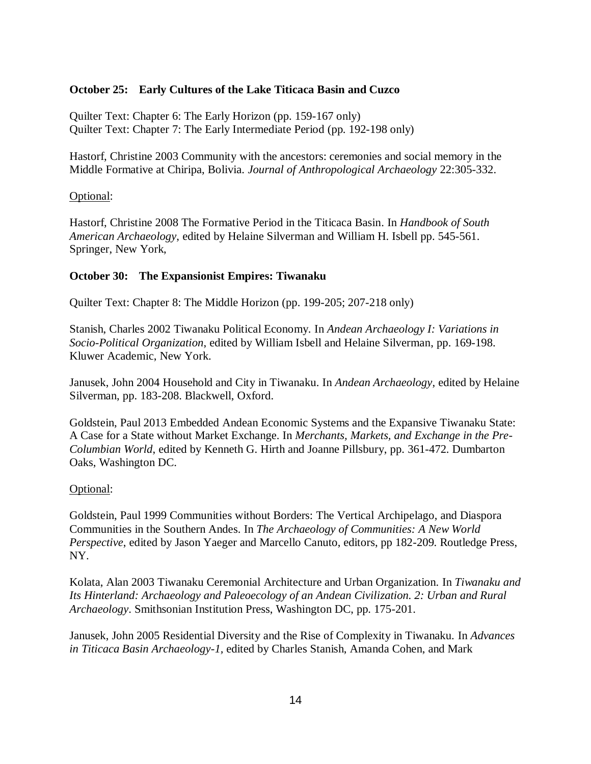#### **October 25: Early Cultures of the Lake Titicaca Basin and Cuzco**

Quilter Text: Chapter 6: The Early Horizon (pp. 159-167 only) Quilter Text: Chapter 7: The Early Intermediate Period (pp. 192-198 only)

Hastorf, Christine 2003 Community with the ancestors: ceremonies and social memory in the Middle Formative at Chiripa, Bolivia. *Journal of Anthropological Archaeology* 22:305-332.

#### Optional:

Hastorf, Christine 2008 The Formative Period in the Titicaca Basin. In *Handbook of South American Archaeology*, edited by Helaine Silverman and William H. Isbell pp. 545-561. Springer, New York,

#### **October 30: The Expansionist Empires: Tiwanaku**

Quilter Text: Chapter 8: The Middle Horizon (pp. 199-205; 207-218 only)

Stanish, Charles 2002 Tiwanaku Political Economy. In *Andean Archaeology I: Variations in Socio-Political Organization*, edited by William Isbell and Helaine Silverman, pp. 169-198. Kluwer Academic, New York.

Janusek, John 2004 Household and City in Tiwanaku. In *Andean Archaeology*, edited by Helaine Silverman, pp. 183-208. Blackwell, Oxford.

Goldstein, Paul 2013 Embedded Andean Economic Systems and the Expansive Tiwanaku State: A Case for a State without Market Exchange. In *Merchants, Markets, and Exchange in the Pre-Columbian World*, edited by Kenneth G. Hirth and Joanne Pillsbury, pp. 361-472. Dumbarton Oaks, Washington DC.

#### Optional:

Goldstein, Paul 1999 Communities without Borders: The Vertical Archipelago, and Diaspora Communities in the Southern Andes. In *The Archaeology of Communities: A New World Perspective*, edited by Jason Yaeger and Marcello Canuto, editors, pp 182-209. Routledge Press, NY.

Kolata, Alan 2003 Tiwanaku Ceremonial Architecture and Urban Organization. In *Tiwanaku and Its Hinterland: Archaeology and Paleoecology of an Andean Civilization. 2: Urban and Rural Archaeology*. Smithsonian Institution Press, Washington DC, pp. 175-201.

Janusek, John 2005 Residential Diversity and the Rise of Complexity in Tiwanaku. In *Advances in Titicaca Basin Archaeology-1,* edited by Charles Stanish, Amanda Cohen, and Mark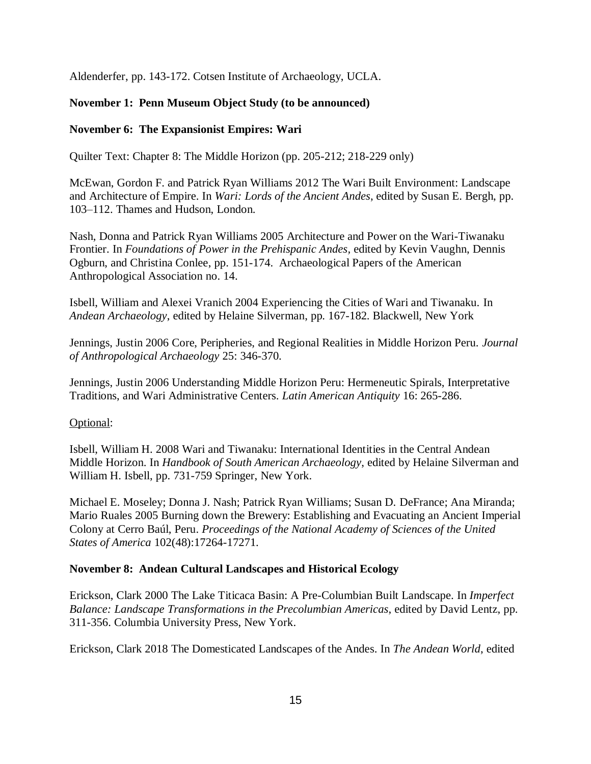Aldenderfer, pp. 143-172. Cotsen Institute of Archaeology, UCLA.

# **November 1: Penn Museum Object Study (to be announced)**

### **November 6: The Expansionist Empires: Wari**

Quilter Text: Chapter 8: The Middle Horizon (pp. 205-212; 218-229 only)

McEwan, Gordon F. and Patrick Ryan Williams 2012 The Wari Built Environment: Landscape and Architecture of Empire. In *Wari: Lords of the Ancient Andes*, edited by Susan E. Bergh, pp. 103–112. Thames and Hudson, London.

Nash, Donna and Patrick Ryan Williams 2005 Architecture and Power on the Wari-Tiwanaku Frontier. In *Foundations of Power in the Prehispanic Andes,* edited by Kevin Vaughn, Dennis Ogburn, and Christina Conlee, pp. 151-174. Archaeological Papers of the American Anthropological Association no. 14.

Isbell, William and Alexei Vranich 2004 Experiencing the Cities of Wari and Tiwanaku. In *Andean Archaeology*, edited by Helaine Silverman, pp. 167-182. Blackwell, New York

Jennings, Justin 2006 Core, Peripheries, and Regional Realities in Middle Horizon Peru. *Journal of Anthropological Archaeology* 25: 346-370.

Jennings, Justin 2006 Understanding Middle Horizon Peru: Hermeneutic Spirals, Interpretative Traditions, and Wari Administrative Centers. *Latin American Antiquity* 16: 265-286.

### Optional:

Isbell, William H. 2008 Wari and Tiwanaku: International Identities in the Central Andean Middle Horizon. In *Handbook of South American Archaeology*, edited by Helaine Silverman and William H. Isbell, pp. 731-759 Springer, New York.

Michael E. Moseley; Donna J. Nash; Patrick Ryan Williams; Susan D. DeFrance; Ana Miranda; Mario Ruales 2005 Burning down the Brewery: Establishing and Evacuating an Ancient Imperial Colony at Cerro Baúl, Peru. *Proceedings of the National Academy of Sciences of the United States of America* 102(48):17264-17271.

### **November 8: Andean Cultural Landscapes and Historical Ecology**

Erickson, Clark 2000 The Lake Titicaca Basin: A Pre-Columbian Built Landscape. In *Imperfect Balance: Landscape Transformations in the Precolumbian Americas*, edited by David Lentz, pp. 311-356. Columbia University Press, New York.

Erickson, Clark 2018 The Domesticated Landscapes of the Andes. In *The Andean World*, edited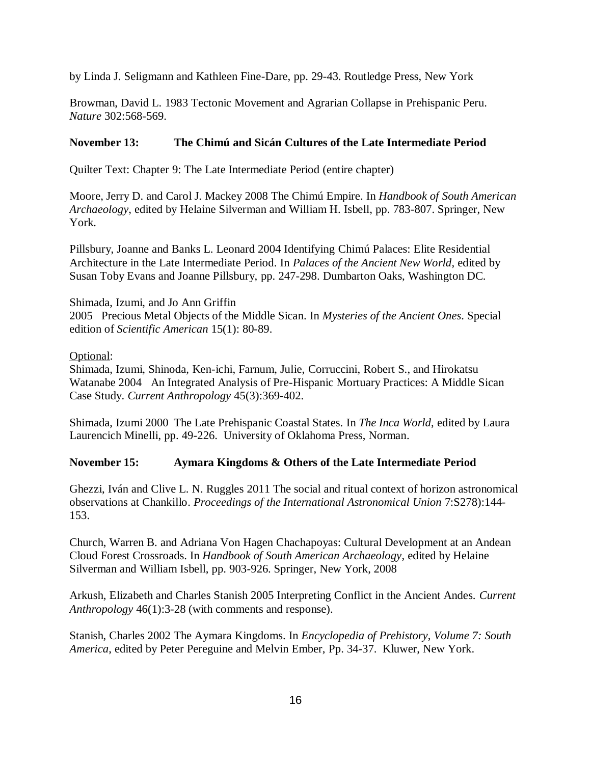by Linda J. Seligmann and Kathleen Fine-Dare, pp. 29-43. Routledge Press, New York

Browman, David L. 1983 Tectonic Movement and Agrarian Collapse in Prehispanic Peru. *Nature* 302:568-569.

## **November 13: The Chimú and Sicán Cultures of the Late Intermediate Period**

Quilter Text: Chapter 9: The Late Intermediate Period (entire chapter)

Moore, Jerry D. and Carol J. Mackey 2008 The Chimú Empire. In *Handbook of South American Archaeology*, edited by Helaine Silverman and William H. Isbell, pp. 783-807. Springer, New York.

Pillsbury, Joanne and Banks L. Leonard 2004 Identifying Chimú Palaces: Elite Residential Architecture in the Late Intermediate Period. In *Palaces of the Ancient New World*, edited by Susan Toby Evans and Joanne Pillsbury, pp. 247-298. Dumbarton Oaks, Washington DC.

### Shimada, Izumi, and Jo Ann Griffin

2005 Precious Metal Objects of the Middle Sican. In *Mysteries of the Ancient Ones*. Special edition of *Scientific American* 15(1): 80-89.

### Optional:

Shimada, Izumi, Shinoda, Ken-ichi, Farnum, Julie, Corruccini, Robert S., and Hirokatsu Watanabe 2004 An Integrated Analysis of Pre-Hispanic Mortuary Practices: A Middle Sican Case Study. *Current Anthropology* 45(3):369-402.

Shimada, Izumi 2000 The Late Prehispanic Coastal States. In *The Inca World*, edited by Laura Laurencich Minelli, pp. 49-226. University of Oklahoma Press, Norman.

### **November 15: Aymara Kingdoms & Others of the Late Intermediate Period**

Ghezzi, Iván and Clive L. N. Ruggles 2011 The social and ritual context of horizon astronomical observations at Chankillo. *Proceedings of the International Astronomical Union* 7:S278):144- 153.

Church, Warren B. and Adriana Von Hagen Chachapoyas: Cultural Development at an Andean Cloud Forest Crossroads. In *Handbook of South American Archaeology*, edited by Helaine Silverman and William Isbell, pp. 903-926. Springer, New York, 2008

Arkush, Elizabeth and Charles Stanish 2005 Interpreting Conflict in the Ancient Andes. *Current Anthropology* 46(1):3-28 (with comments and response).

Stanish, Charles 2002 The Aymara Kingdoms. In *Encyclopedia of Prehistory*, *Volume 7: South America*, edited by Peter Pereguine and Melvin Ember, Pp. 34-37. Kluwer, New York.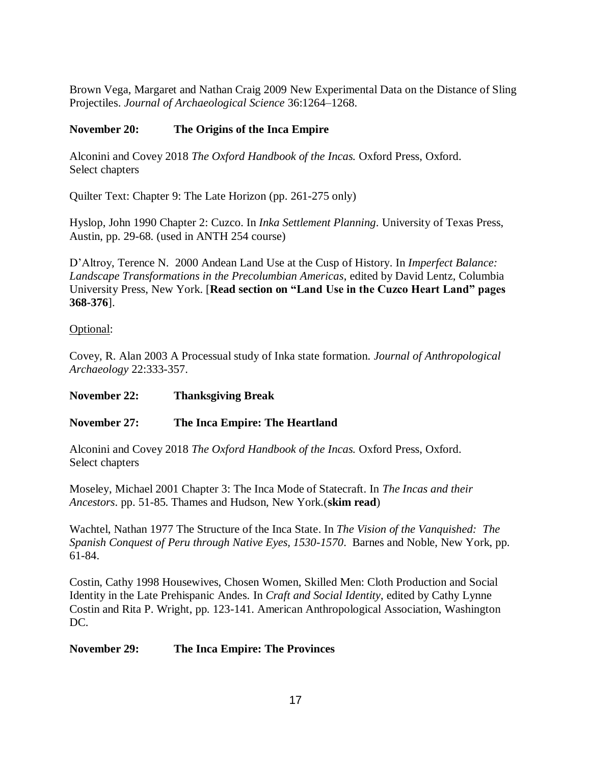Brown Vega, Margaret and Nathan Craig 2009 New Experimental Data on the Distance of Sling Projectiles. *Journal of Archaeological Science* 36:1264–1268.

# **November 20: The Origins of the Inca Empire**

Alconini and Covey 2018 *The Oxford Handbook of the Incas.* Oxford Press, Oxford. Select chapters

Quilter Text: Chapter 9: The Late Horizon (pp. 261-275 only)

Hyslop, John 1990 Chapter 2: Cuzco. In *Inka Settlement Planning*. University of Texas Press, Austin, pp. 29-68. (used in ANTH 254 course)

D'Altroy, Terence N. 2000 Andean Land Use at the Cusp of History. In *Imperfect Balance: Landscape Transformations in the Precolumbian Americas*, edited by David Lentz, Columbia University Press, New York. [**Read section on "Land Use in the Cuzco Heart Land" pages 368-376**].

# Optional:

Covey, R. Alan 2003 A Processual study of Inka state formation. *Journal of Anthropological Archaeology* 22:333-357.

# **November 22: Thanksgiving Break**

# **November 27: The Inca Empire: The Heartland**

Alconini and Covey 2018 *The Oxford Handbook of the Incas.* Oxford Press, Oxford. Select chapters

Moseley, Michael 2001 Chapter 3: The Inca Mode of Statecraft. In *The Incas and their Ancestors*. pp. 51-85. Thames and Hudson, New York.(**skim read**)

Wachtel, Nathan 1977 The Structure of the Inca State. In *The Vision of the Vanquished: The Spanish Conquest of Peru through Native Eyes, 1530-1570*. Barnes and Noble, New York, pp. 61-84.

Costin, Cathy 1998 Housewives, Chosen Women, Skilled Men: Cloth Production and Social Identity in the Late Prehispanic Andes. In *Craft and Social Identity*, edited by Cathy Lynne Costin and Rita P. Wright, pp. 123-141. American Anthropological Association, Washington DC.

# **November 29: The Inca Empire: The Provinces**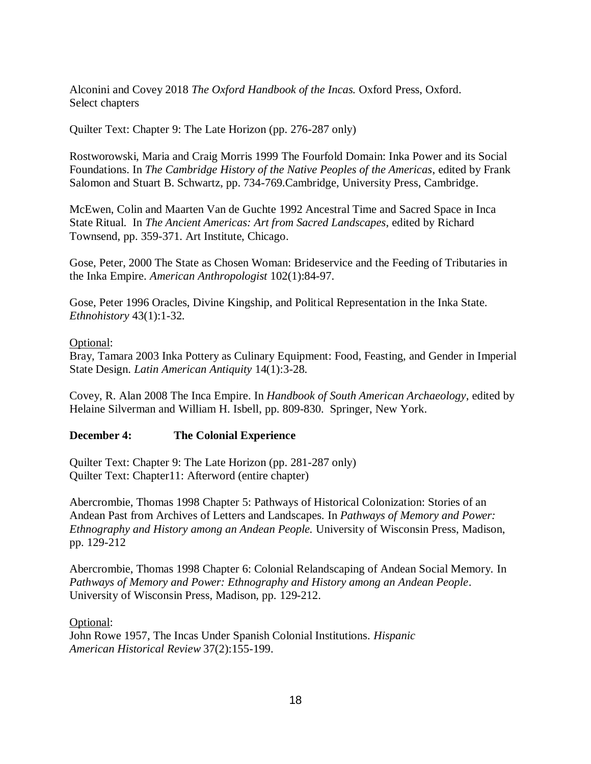Alconini and Covey 2018 *The Oxford Handbook of the Incas.* Oxford Press, Oxford. Select chapters

Quilter Text: Chapter 9: The Late Horizon (pp. 276-287 only)

Rostworowski, Maria and Craig Morris 1999 The Fourfold Domain: Inka Power and its Social Foundations. In *The Cambridge History of the Native Peoples of the Americas*, edited by Frank Salomon and Stuart B. Schwartz, pp. 734-769.Cambridge, University Press, Cambridge.

McEwen, Colin and Maarten Van de Guchte 1992 Ancestral Time and Sacred Space in Inca State Ritual. In *The Ancient Americas: Art from Sacred Landscapes*, edited by Richard Townsend, pp. 359-371. Art Institute, Chicago.

Gose, Peter, 2000 The State as Chosen Woman: Brideservice and the Feeding of Tributaries in the Inka Empire. *American Anthropologist* 102(1):84-97.

Gose, Peter 1996 Oracles, Divine Kingship, and Political Representation in the Inka State. *Ethnohistory* 43(1):1-32.

### Optional:

Bray, Tamara 2003 Inka Pottery as Culinary Equipment: Food, Feasting, and Gender in Imperial State Design. *Latin American Antiquity* 14(1):3-28.

Covey, R. Alan 2008 The Inca Empire. In *Handbook of South American Archaeology*, edited by Helaine Silverman and William H. Isbell, pp. 809-830. Springer, New York.

# **December 4: The Colonial Experience**

Quilter Text: Chapter 9: The Late Horizon (pp. 281-287 only) Quilter Text: Chapter11: Afterword (entire chapter)

Abercrombie, Thomas 1998 Chapter 5: Pathways of Historical Colonization: Stories of an Andean Past from Archives of Letters and Landscapes. In *Pathways of Memory and Power: Ethnography and History among an Andean People.* University of Wisconsin Press, Madison, pp. 129-212

Abercrombie, Thomas 1998 Chapter 6: Colonial Relandscaping of Andean Social Memory. In *Pathways of Memory and Power: Ethnography and History among an Andean People*. University of Wisconsin Press, Madison, pp. 129-212.

Optional:

John Rowe 1957, The Incas Under Spanish Colonial Institutions*. Hispanic American Historical Review* 37(2):155-199.